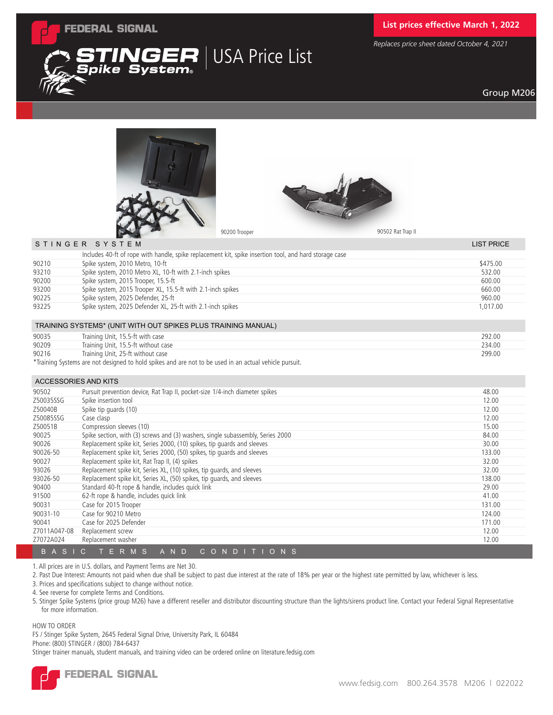

 ${\sf Spike}$  System $_{\circ}$ 

# **List prices effective March 1, 2022**

*Replaces price sheet dated October 4, 2021*

## Group M206





**INGER** USA Price List

| STINGER SYSTEM |                                                                                                        | <b>LIST PRICE</b> |
|----------------|--------------------------------------------------------------------------------------------------------|-------------------|
|                | Includes 40-ft of rope with handle, spike replacement kit, spike insertion tool, and hard storage case |                   |
| 90210          | Spike system, 2010 Metro, 10-ft                                                                        | \$475.00          |
| 93210          | Spike system, 2010 Metro XL, 10-ft with 2.1-inch spikes                                                | 532.00            |
| 90200          | Spike system, 2015 Trooper, 15.5-ft                                                                    | 600.00            |
| 93200          | Spike system, 2015 Trooper XL, 15.5-ft with 2.1-inch spikes                                            | 660.00            |
| 90225          | Spike system, 2025 Defender, 25-ft                                                                     | 960.00            |
| 93225          | Spike system, 2025 Defender XL, 25-ft with 2.1-inch spikes                                             | 1.017.00          |
|                |                                                                                                        |                   |
|                |                                                                                                        |                   |

| TRAINING SYSTEMS* (UNIT WITH OUT SPIKES PLUS TRAINING MANUAL)                                         |                                     |        |  |  |
|-------------------------------------------------------------------------------------------------------|-------------------------------------|--------|--|--|
| 90035                                                                                                 | Training Unit, 15.5-ft with case    | 292.00 |  |  |
| 90209                                                                                                 | Training Unit, 15.5-ft without case | 234.00 |  |  |
| 90216                                                                                                 | Training Unit, 25-ft without case   | 299.00 |  |  |
| *Training Systems are not designed to hold spikes and are not to be used in an actual vehicle pursuit |                                     |        |  |  |

Training Systems are not designed to hold spikes and are not to be used in an actual vehicle

### ACCESSORIES AND KITS

| 90502        | Pursuit prevention device, Rat Trap II, pocket-size 1/4-inch diameter spikes                  | 48.00  |
|--------------|-----------------------------------------------------------------------------------------------|--------|
| Z50035SSG    | Spike insertion tool                                                                          | 12.00  |
| Z50040B      | Spike tip quards (10)                                                                         | 12.00  |
| Z50085SSG    | Case clasp                                                                                    | 12.00  |
| Z50051B      | Compression sleeves (10)                                                                      | 15.00  |
| 90025        | Spike section, with (3) screws and (3) washers, single subassembly, Series 2000               | 84.00  |
| 90026        | Replacement spike kit, Series 2000, (10) spikes, tip quards and sleeves                       | 30.00  |
| 90026-50     | Replacement spike kit, Series 2000, (50) spikes, tip quards and sleeves                       | 133.00 |
| 90027        | Replacement spike kit, Rat Trap II, (4) spikes                                                | 32.00  |
| 93026        | Replacement spike kit, Series XL, (10) spikes, tip guards, and sleeves                        | 32.00  |
| 93026-50     | Replacement spike kit, Series XL, (50) spikes, tip guards, and sleeves                        | 138.00 |
| 90400        | Standard 40-ft rope & handle, includes quick link                                             | 29.00  |
| 91500        | 62-ft rope & handle, includes quick link                                                      | 41.00  |
| 90031        | Case for 2015 Trooper                                                                         | 131.00 |
| 90031-10     | Case for 90210 Metro                                                                          | 124.00 |
| 90041        | Case for 2025 Defender                                                                        | 171.00 |
| Z7011A047-08 | Replacement screw                                                                             | 12.00  |
| Z7072A024    | Replacement washer                                                                            | 12.00  |
| B A S        | TERMS<br>A N D<br>ND<br>$C$ $O$<br>N <sub>S</sub><br>C.<br>$\overline{1}$ O<br>$\blacksquare$ |        |

1. All prices are in U.S. dollars, and Payment Terms are Net 30.

2. Past Due Interest: Amounts not paid when due shall be subject to past due interest at the rate of 18% per year or the highest rate permitted by law, whichever is less.

3. Prices and specifications subject to change without notice.

4. See reverse for complete Terms and Conditions.

5. Stinger Spike Systems (price group M26) have a different reseller and distributor discounting structure than the lights/sirens product line. Contact your Federal Signal Representative for more information.

#### HOW TO ORDER

FS / Stinger Spike System, 2645 Federal Signal Drive, University Park, IL 60484 Phone: (800) STINGER / (800) 784-6437 Stinger trainer manuals, student manuals, and training video can be ordered online on literature.fedsig.com